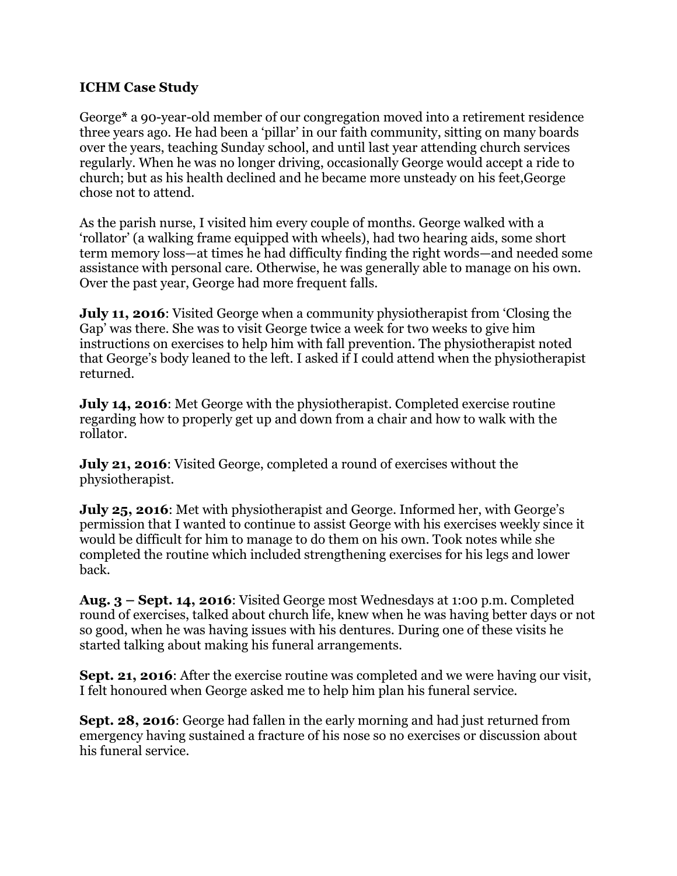## **ICHM Case Study**

George**\*** a 90-year-old member of our congregation moved into a retirement residence three years ago. He had been a 'pillar' in our faith community, sitting on many boards over the years, teaching Sunday school, and until last year attending church services regularly. When he was no longer driving, occasionally George would accept a ride to church; but as his health declined and he became more unsteady on his feet,George chose not to attend.

As the parish nurse, I visited him every couple of months. George walked with a 'rollator' (a walking frame equipped with wheels), had two hearing aids, some short term memory loss—at times he had difficulty finding the right words—and needed some assistance with personal care. Otherwise, he was generally able to manage on his own. Over the past year, George had more frequent falls.

**July 11, 2016**: Visited George when a community physiotherapist from 'Closing the Gap' was there. She was to visit George twice a week for two weeks to give him instructions on exercises to help him with fall prevention. The physiotherapist noted that George's body leaned to the left. I asked if I could attend when the physiotherapist returned.

**July 14, 2016**: Met George with the physiotherapist. Completed exercise routine regarding how to properly get up and down from a chair and how to walk with the rollator.

**July 21, 2016**: Visited George, completed a round of exercises without the physiotherapist.

**July 25, 2016**: Met with physiotherapist and George. Informed her, with George's permission that I wanted to continue to assist George with his exercises weekly since it would be difficult for him to manage to do them on his own. Took notes while she completed the routine which included strengthening exercises for his legs and lower back.

**Aug. 3 – Sept. 14, 2016**: Visited George most Wednesdays at 1:00 p.m. Completed round of exercises, talked about church life, knew when he was having better days or not so good, when he was having issues with his dentures. During one of these visits he started talking about making his funeral arrangements.

**Sept. 21, 2016**: After the exercise routine was completed and we were having our visit, I felt honoured when George asked me to help him plan his funeral service.

**Sept. 28, 2016**: George had fallen in the early morning and had just returned from emergency having sustained a fracture of his nose so no exercises or discussion about his funeral service.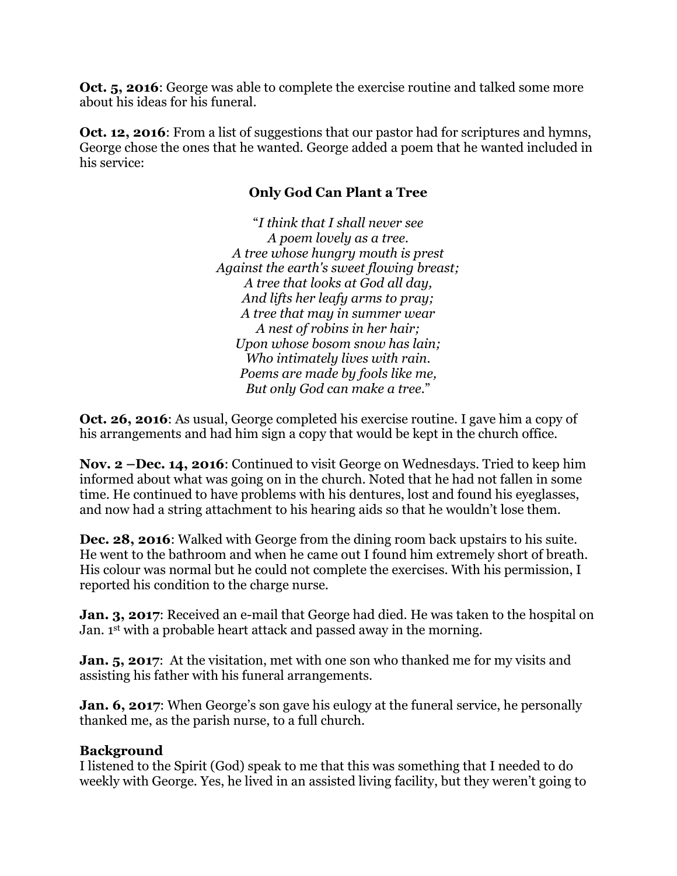**Oct. 5, 2016**: George was able to complete the exercise routine and talked some more about his ideas for his funeral.

**Oct. 12, 2016**: From a list of suggestions that our pastor had for scriptures and hymns, George chose the ones that he wanted. George added a poem that he wanted included in his service:

## **Only God Can Plant a Tree**

"*I think that I shall never see A poem lovely as a tree. A tree whose hungry mouth is prest Against the earth's sweet flowing breast; A tree that looks at God all day, And lifts her leafy arms to pray; A tree that may in summer wear A nest of robins in her hair; Upon whose bosom snow has lain; Who intimately lives with rain. Poems are made by fools like me, But only God can make a tree.*"

**Oct. 26, 2016**: As usual, George completed his exercise routine. I gave him a copy of his arrangements and had him sign a copy that would be kept in the church office.

**Nov. 2 –Dec. 14, 2016**: Continued to visit George on Wednesdays. Tried to keep him informed about what was going on in the church. Noted that he had not fallen in some time. He continued to have problems with his dentures, lost and found his eyeglasses, and now had a string attachment to his hearing aids so that he wouldn't lose them.

**Dec. 28, 2016**: Walked with George from the dining room back upstairs to his suite. He went to the bathroom and when he came out I found him extremely short of breath. His colour was normal but he could not complete the exercises. With his permission, I reported his condition to the charge nurse.

**Jan. 3, 2017:** Received an e-mail that George had died. He was taken to the hospital on Jan. 1st with a probable heart attack and passed away in the morning.

**Jan. 5, 2017:** At the visitation, met with one son who thanked me for my visits and assisting his father with his funeral arrangements.

**Jan. 6, 2017:** When George's son gave his eulogy at the funeral service, he personally thanked me, as the parish nurse, to a full church.

## **Background**

I listened to the Spirit (God) speak to me that this was something that I needed to do weekly with George. Yes, he lived in an assisted living facility, but they weren't going to